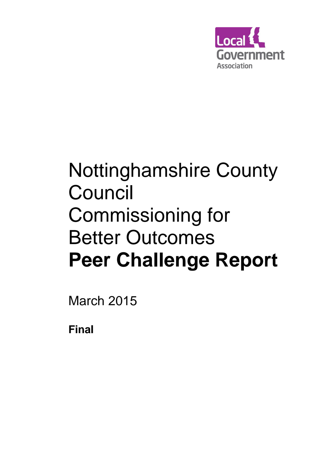

# Nottinghamshire County Council Commissioning for Better Outcomes **Peer Challenge Report**

March 2015

**Final**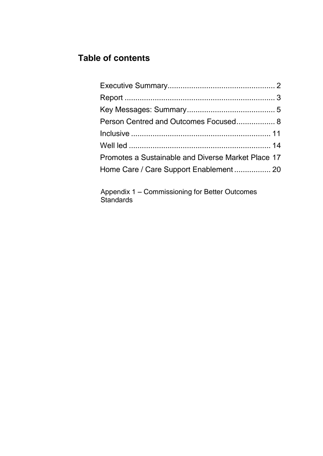## **Table of contents**

| Person Centred and Outcomes Focused 8              |  |
|----------------------------------------------------|--|
|                                                    |  |
|                                                    |  |
| Promotes a Sustainable and Diverse Market Place 17 |  |
|                                                    |  |

Appendix 1 – Commissioning for Better Outcomes Standards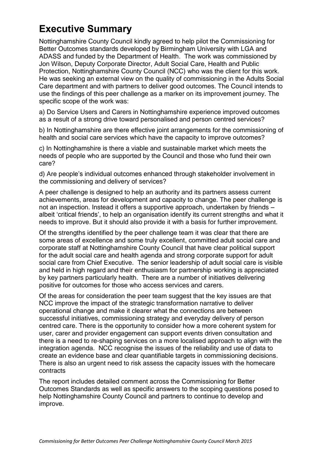# **Executive Summary**

Nottinghamshire County Council kindly agreed to help pilot the Commissioning for Better Outcomes standards developed by Birmingham University with LGA and ADASS and funded by the Department of Health. The work was commissioned by Jon Wilson, Deputy Corporate Director, Adult Social Care, Health and Public Protection, Nottinghamshire County Council (NCC) who was the client for this work. He was seeking an external view on the quality of commissioning in the Adults Social Care department and with partners to deliver good outcomes. The Council intends to use the findings of this peer challenge as a marker on its improvement journey. The specific scope of the work was:

a) Do Service Users and Carers in Nottinghamshire experience improved outcomes as a result of a strong drive toward personalised and person centred services?

b) In Nottinghamshire are there effective joint arrangements for the commissioning of health and social care services which have the capacity to improve outcomes?

c) In Nottinghamshire is there a viable and sustainable market which meets the needs of people who are supported by the Council and those who fund their own care?

d) Are people's individual outcomes enhanced through stakeholder involvement in the commissioning and delivery of services?

A peer challenge is designed to help an authority and its partners assess current achievements, areas for development and capacity to change. The peer challenge is not an inspection. Instead it offers a supportive approach, undertaken by friends – albeit 'critical friends', to help an organisation identify its current strengths and what it needs to improve. But it should also provide it with a basis for further improvement.

Of the strengths identified by the peer challenge team it was clear that there are some areas of excellence and some truly excellent, committed adult social care and corporate staff at Nottinghamshire County Council that have clear political support for the adult social care and health agenda and strong corporate support for adult social care from Chief Executive. The senior leadership of adult social care is visible and held in high regard and their enthusiasm for partnership working is appreciated by key partners particularly health. There are a number of initiatives delivering positive for outcomes for those who access services and carers.

Of the areas for consideration the peer team suggest that the key issues are that NCC improve the impact of the strategic transformation narrative to deliver operational change and make it clearer what the connections are between successful initiatives, commissioning strategy and everyday delivery of person centred care. There is the opportunity to consider how a more coherent system for user, carer and provider engagement can support events driven consultation and there is a need to re-shaping services on a more localised approach to align with the integration agenda. NCC recognise the issues of the reliability and use of data to create an evidence base and clear quantifiable targets in commissioning decisions. There is also an urgent need to risk assess the capacity issues with the homecare contracts

The report includes detailed comment across the Commissioning for Better Outcomes Standards as well as specific answers to the scoping questions posed to help Nottinghamshire County Council and partners to continue to develop and improve.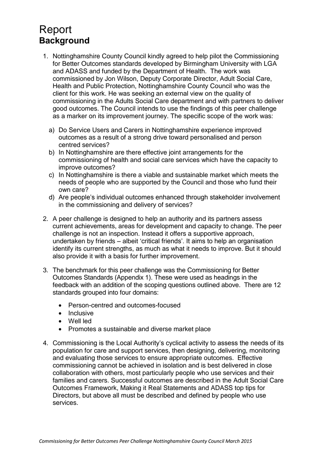# <span id="page-3-0"></span>Report **Background**

- 1. Nottinghamshire County Council kindly agreed to help pilot the Commissioning for Better Outcomes standards developed by Birmingham University with LGA and ADASS and funded by the Department of Health. The work was commissioned by Jon Wilson, Deputy Corporate Director, Adult Social Care, Health and Public Protection, Nottinghamshire County Council who was the client for this work. He was seeking an external view on the quality of commissioning in the Adults Social Care department and with partners to deliver good outcomes. The Council intends to use the findings of this peer challenge as a marker on its improvement journey. The specific scope of the work was:
	- a) Do Service Users and Carers in Nottinghamshire experience improved outcomes as a result of a strong drive toward personalised and person centred services?
	- b) In Nottinghamshire are there effective joint arrangements for the commissioning of health and social care services which have the capacity to improve outcomes?
	- c) In Nottinghamshire is there a viable and sustainable market which meets the needs of people who are supported by the Council and those who fund their own care?
	- d) Are people's individual outcomes enhanced through stakeholder involvement in the commissioning and delivery of services?
- 2. A peer challenge is designed to help an authority and its partners assess current achievements, areas for development and capacity to change. The peer challenge is not an inspection. Instead it offers a supportive approach, undertaken by friends – albeit 'critical friends'. It aims to help an organisation identify its current strengths, as much as what it needs to improve. But it should also provide it with a basis for further improvement.
- 3. The benchmark for this peer challenge was the Commissioning for Better Outcomes Standards (Appendix 1). These were used as headings in the feedback with an addition of the scoping questions outlined above. There are 12 standards grouped into four domains:
	- Person-centred and outcomes-focused
	- Inclusive
	- Well led
	- Promotes a sustainable and diverse market place
- 4. Commissioning is the Local Authority's cyclical activity to assess the needs of its population for care and support services, then designing, delivering, monitoring and evaluating those services to ensure appropriate outcomes. Effective commissioning cannot be achieved in isolation and is best delivered in close collaboration with others, most particularly people who use services and their families and carers. Successful outcomes are described in the Adult Social Care Outcomes Framework, Making it Real Statements and ADASS top tips for Directors, but above all must be described and defined by people who use services.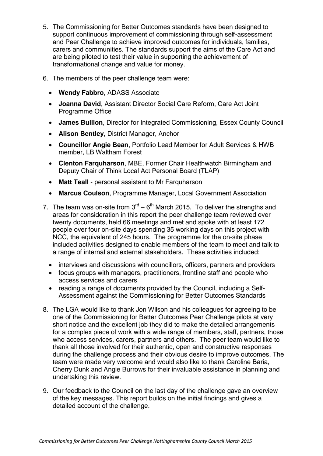- 5. The Commissioning for Better Outcomes standards have been designed to support continuous improvement of commissioning through self-assessment and Peer Challenge to achieve improved outcomes for individuals, families, carers and communities. The standards support the aims of the Care Act and are being piloted to test their value in supporting the achievement of transformational change and value for money.
- 6. The members of the peer challenge team were:
	- **Wendy Fabbro**, ADASS Associate
	- **Joanna David**, Assistant Director Social Care Reform, Care Act Joint Programme Office
	- **James Bullion**, Director for Integrated Commissioning, Essex County Council
	- **Alison Bentley**, District Manager, Anchor
	- **Councillor Angie Bean**, Portfolio Lead Member for Adult Services & HWB member, LB Waltham Forest
	- **Clenton Farquharson**, MBE, Former Chair Healthwatch Birmingham and Deputy Chair of Think Local Act Personal Board (TLAP)
	- **Matt Teall** personal assistant to Mr Farquharson
	- **Marcus Coulson**, Programme Manager, Local Government Association
- 7. The team was on-site from  $3<sup>rd</sup> 6<sup>th</sup>$  March 2015. To deliver the strengths and areas for consideration in this report the peer challenge team reviewed over twenty documents, held 66 meetings and met and spoke with at least 172 people over four on-site days spending 35 working days on this project with NCC, the equivalent of 245 hours. The programme for the on-site phase included activities designed to enable members of the team to meet and talk to a range of internal and external stakeholders. These activities included:
	- interviews and discussions with councillors, officers, partners and providers
	- focus groups with managers, practitioners, frontline staff and people who access services and carers
	- reading a range of documents provided by the Council, including a Self-Assessment against the Commissioning for Better Outcomes Standards
- 8. The LGA would like to thank Jon Wilson and his colleagues for agreeing to be one of the Commissioning for Better Outcomes Peer Challenge pilots at very short notice and the excellent job they did to make the detailed arrangements for a complex piece of work with a wide range of members, staff, partners, those who access services, carers, partners and others. The peer team would like to thank all those involved for their authentic, open and constructive responses during the challenge process and their obvious desire to improve outcomes. The team were made very welcome and would also like to thank Caroline Baria, Cherry Dunk and Angie Burrows for their invaluable assistance in planning and undertaking this review.
- 9. Our feedback to the Council on the last day of the challenge gave an overview of the key messages. This report builds on the initial findings and gives a detailed account of the challenge.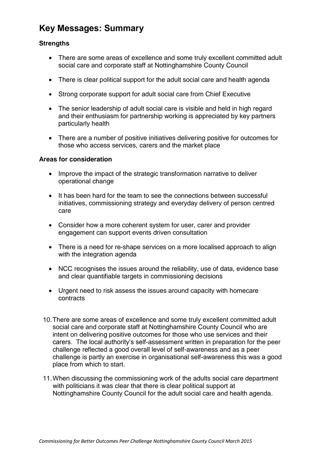## <span id="page-5-0"></span>**Key Messages: Summary**

#### **Strengths**

- There are some areas of excellence and some truly excellent committed adult social care and corporate staff at Nottinghamshire County Council
- There is clear political support for the adult social care and health agenda
- Strong corporate support for adult social care from Chief Executive
- The senior leadership of adult social care is visible and held in high regard and their enthusiasm for partnership working is appreciated by key partners particularly health
- There are a number of positive initiatives delivering positive for outcomes for those who access services, carers and the market place

#### **Areas for consideration**

- Improve the impact of the strategic transformation narrative to deliver operational change
- It has been hard for the team to see the connections between successful initiatives, commissioning strategy and everyday delivery of person centred care
- Consider how a more coherent system for user, carer and provider engagement can support events driven consultation
- There is a need for re-shape services on a more localised approach to align with the integration agenda
- NCC recognises the issues around the reliability, use of data, evidence base and clear quantifiable targets in commissioning decisions
- Urgent need to risk assess the issues around capacity with homecare contracts
- 10.There are some areas of excellence and some truly excellent committed adult social care and corporate staff at Nottinghamshire County Council who are intent on delivering positive outcomes for those who use services and their carers. The local authority's self-assessment written in preparation for the peer challenge reflected a good overall level of self-awareness and as a peer challenge is partly an exercise in organisational self-awareness this was a good place from which to start.
- 11.When discussing the commissioning work of the adults social care department with politicians it was clear that there is clear political support at Nottinghamshire County Council for the adult social care and health agenda.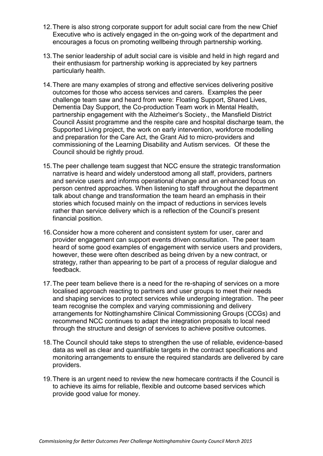- 12.There is also strong corporate support for adult social care from the new Chief Executive who is actively engaged in the on-going work of the department and encourages a focus on promoting wellbeing through partnership working.
- 13.The senior leadership of adult social care is visible and held in high regard and their enthusiasm for partnership working is appreciated by key partners particularly health.
- 14.There are many examples of strong and effective services delivering positive outcomes for those who access services and carers. Examples the peer challenge team saw and heard from were: Floating Support, Shared Lives, Dementia Day Support, the Co-production Team work in Mental Health, partnership engagement with the Alzheimer's Society., the Mansfield District Council Assist programme and the respite care and hospital discharge team, the Supported Living project, the work on early intervention, workforce modelling and preparation for the Care Act, the Grant Aid to micro-providers and commissioning of the Learning Disability and Autism services. Of these the Council should be rightly proud.
- 15.The peer challenge team suggest that NCC ensure the strategic transformation narrative is heard and widely understood among all staff, providers, partners and service users and informs operational change and an enhanced focus on person centred approaches. When listening to staff throughout the department talk about change and transformation the team heard an emphasis in their stories which focused mainly on the impact of reductions in services levels rather than service delivery which is a reflection of the Council's present financial position.
- 16.Consider how a more coherent and consistent system for user, carer and provider engagement can support events driven consultation. The peer team heard of some good examples of engagement with service users and providers, however, these were often described as being driven by a new contract, or strategy, rather than appearing to be part of a process of regular dialogue and feedback.
- 17.The peer team believe there is a need for the re-shaping of services on a more localised approach reacting to partners and user groups to meet their needs and shaping services to protect services while undergoing integration. The peer team recognise the complex and varying commissioning and delivery arrangements for Nottinghamshire Clinical Commissioning Groups (CCGs) and recommend NCC continues to adapt the integration proposals to local need through the structure and design of services to achieve positive outcomes.
- 18.The Council should take steps to strengthen the use of reliable, evidence-based data as well as clear and quantifiable targets in the contract specifications and monitoring arrangements to ensure the required standards are delivered by care providers.
- 19.There is an urgent need to review the new homecare contracts if the Council is to achieve its aims for reliable, flexible and outcome based services which provide good value for money.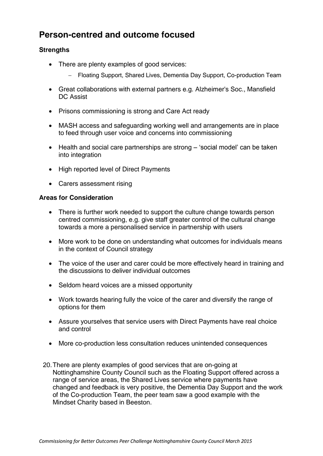## **Person-centred and outcome focused**

#### **Strengths**

- There are plenty examples of good services:
	- Floating Support, Shared Lives, Dementia Day Support, Co-production Team
- Great collaborations with external partners e.g. Alzheimer's Soc., Mansfield DC Assist
- Prisons commissioning is strong and Care Act ready
- MASH access and safeguarding working well and arrangements are in place to feed through user voice and concerns into commissioning
- Health and social care partnerships are strong 'social model' can be taken into integration
- High reported level of Direct Payments
- Carers assessment rising

#### **Areas for Consideration**

- There is further work needed to support the culture change towards person centred commissioning, e.g. give staff greater control of the cultural change towards a more a personalised service in partnership with users
- More work to be done on understanding what outcomes for individuals means in the context of Council strategy
- The voice of the user and carer could be more effectively heard in training and the discussions to deliver individual outcomes
- Seldom heard voices are a missed opportunity
- Work towards hearing fully the voice of the carer and diversify the range of options for them
- Assure yourselves that service users with Direct Payments have real choice and control
- More co-production less consultation reduces unintended consequences
- 20.There are plenty examples of good services that are on-going at Nottinghamshire County Council such as the Floating Support offered across a range of service areas, the Shared Lives service where payments have changed and feedback is very positive, the Dementia Day Support and the work of the Co-production Team, the peer team saw a good example with the Mindset Charity based in Beeston.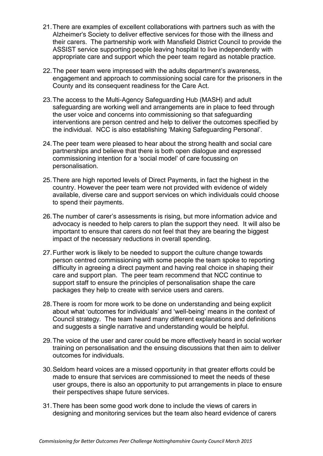- 21.There are examples of excellent collaborations with partners such as with the Alzheimer's Society to deliver effective services for those with the illness and their carers. The partnership work with Mansfield District Council to provide the ASSIST service supporting people leaving hospital to live independently with appropriate care and support which the peer team regard as notable practice.
- 22.The peer team were impressed with the adults department's awareness, engagement and approach to commissioning social care for the prisoners in the County and its consequent readiness for the Care Act.
- 23.The access to the Multi-Agency Safeguarding Hub (MASH) and adult safeguarding are working well and arrangements are in place to feed through the user voice and concerns into commissioning so that safeguarding interventions are person centred and help to deliver the outcomes specified by the individual. NCC is also establishing 'Making Safeguarding Personal'.
- 24.The peer team were pleased to hear about the strong health and social care partnerships and believe that there is both open dialogue and expressed commissioning intention for a 'social model' of care focussing on personalisation.
- 25.There are high reported levels of Direct Payments, in fact the highest in the country. However the peer team were not provided with evidence of widely available, diverse care and support services on which individuals could choose to spend their payments.
- 26.The number of carer's assessments is rising, but more information advice and advocacy is needed to help carers to plan the support they need. It will also be important to ensure that carers do not feel that they are bearing the biggest impact of the necessary reductions in overall spending.
- 27.Further work is likely to be needed to support the culture change towards person centred commissioning with some people the team spoke to reporting difficulty in agreeing a direct payment and having real choice in shaping their care and support plan. The peer team recommend that NCC continue to support staff to ensure the principles of personalisation shape the care packages they help to create with service users and carers.
- 28.There is room for more work to be done on understanding and being explicit about what 'outcomes for individuals' and 'well-being' means in the context of Council strategy. The team heard many different explanations and definitions and suggests a single narrative and understanding would be helpful.
- 29.The voice of the user and carer could be more effectively heard in social worker training on personalisation and the ensuing discussions that then aim to deliver outcomes for individuals.
- 30.Seldom heard voices are a missed opportunity in that greater efforts could be made to ensure that services are commissioned to meet the needs of these user groups, there is also an opportunity to put arrangements in place to ensure their perspectives shape future services.
- 31.There has been some good work done to include the views of carers in designing and monitoring services but the team also heard evidence of carers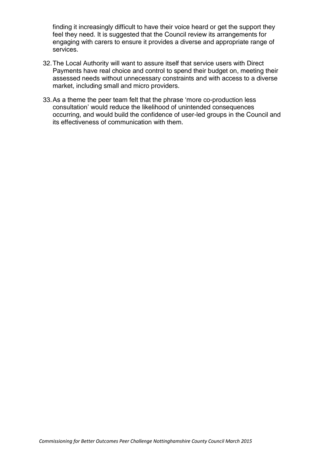finding it increasingly difficult to have their voice heard or get the support they feel they need. It is suggested that the Council review its arrangements for engaging with carers to ensure it provides a diverse and appropriate range of services.

- 32.The Local Authority will want to assure itself that service users with Direct Payments have real choice and control to spend their budget on, meeting their assessed needs without unnecessary constraints and with access to a diverse market, including small and micro providers.
- 33.As a theme the peer team felt that the phrase 'more co-production less consultation' would reduce the likelihood of unintended consequences occurring, and would build the confidence of user-led groups in the Council and its effectiveness of communication with them.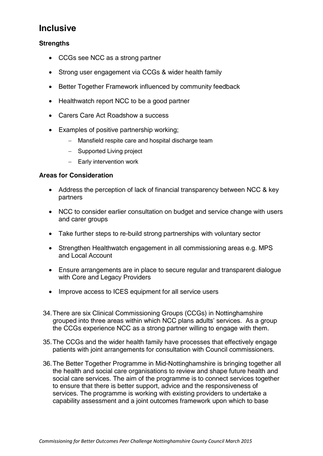## **Inclusive**

#### **Strengths**

- CCGs see NCC as a strong partner
- Strong user engagement via CCGs & wider health family
- Better Together Framework influenced by community feedback
- Healthwatch report NCC to be a good partner
- Carers Care Act Roadshow a success
- Examples of positive partnership working;
	- Mansfield respite care and hospital discharge team
	- Supported Living project
	- Early intervention work

#### **Areas for Consideration**

- Address the perception of lack of financial transparency between NCC & key partners
- NCC to consider earlier consultation on budget and service change with users and carer groups
- Take further steps to re-build strong partnerships with voluntary sector
- Strengthen Healthwatch engagement in all commissioning areas e.g. MPS and Local Account
- Ensure arrangements are in place to secure regular and transparent dialogue with Core and Legacy Providers
- Improve access to ICES equipment for all service users
- 34.There are six Clinical Commissioning Groups (CCGs) in Nottinghamshire grouped into three areas within which NCC plans adults' services. As a group the CCGs experience NCC as a strong partner willing to engage with them.
- 35.The CCGs and the wider health family have processes that effectively engage patients with joint arrangements for consultation with Council commissioners.
- 36.The Better Together Programme in Mid-Nottinghamshire is bringing together all the health and social care organisations to review and shape future health and social care services. The aim of the programme is to connect services together to ensure that there is better support, advice and the responsiveness of services. The programme is working with existing providers to undertake a capability assessment and a joint outcomes framework upon which to base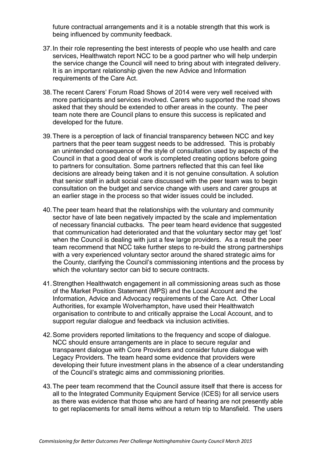future contractual arrangements and it is a notable strength that this work is being influenced by community feedback.

- 37.In their role representing the best interests of people who use health and care services, Healthwatch report NCC to be a good partner who will help underpin the service change the Council will need to bring about with integrated delivery. It is an important relationship given the new Advice and Information requirements of the Care Act.
- 38.The recent Carers' Forum Road Shows of 2014 were very well received with more participants and services involved. Carers who supported the road shows asked that they should be extended to other areas in the county. The peer team note there are Council plans to ensure this success is replicated and developed for the future.
- 39.There is a perception of lack of financial transparency between NCC and key partners that the peer team suggest needs to be addressed. This is probably an unintended consequence of the style of consultation used by aspects of the Council in that a good deal of work is completed creating options before going to partners for consultation. Some partners reflected that this can feel like decisions are already being taken and it is not genuine consultation. A solution that senior staff in adult social care discussed with the peer team was to begin consultation on the budget and service change with users and carer groups at an earlier stage in the process so that wider issues could be included.
- 40.The peer team heard that the relationships with the voluntary and community sector have of late been negatively impacted by the scale and implementation of necessary financial cutbacks. The peer team heard evidence that suggested that communication had deteriorated and that the voluntary sector may get 'lost' when the Council is dealing with just a few large providers. As a result the peer team recommend that NCC take further steps to re-build the strong partnerships with a very experienced voluntary sector around the shared strategic aims for the County, clarifying the Council's commissioning intentions and the process by which the voluntary sector can bid to secure contracts.
- 41.Strengthen Healthwatch engagement in all commissioning areas such as those of the Market Position Statement (MPS) and the Local Account and the Information, Advice and Advocacy requirements of the Care Act. Other Local Authorities, for example Wolverhampton, have used their Healthwatch organisation to contribute to and critically appraise the Local Account, and to support regular dialogue and feedback via inclusion activities.
- 42.Some providers reported limitations to the frequency and scope of dialogue. NCC should ensure arrangements are in place to secure regular and transparent dialogue with Core Providers and consider future dialogue with Legacy Providers. The team heard some evidence that providers were developing their future investment plans in the absence of a clear understanding of the Council's strategic aims and commissioning priorities.
- 43.The peer team recommend that the Council assure itself that there is access for all to the Integrated Community Equipment Service (ICES) for all service users as there was evidence that those who are hard of hearing are not presently able to get replacements for small items without a return trip to Mansfield. The users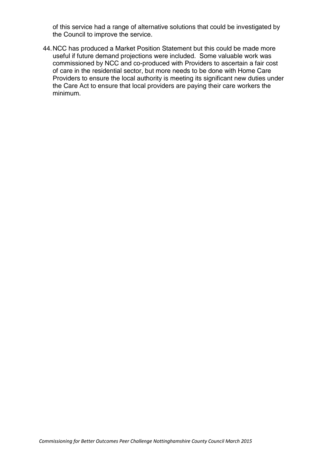of this service had a range of alternative solutions that could be investigated by the Council to improve the service.

44.NCC has produced a Market Position Statement but this could be made more useful if future demand projections were included. Some valuable work was commissioned by NCC and co-produced with Providers to ascertain a fair cost of care in the residential sector, but more needs to be done with Home Care Providers to ensure the local authority is meeting its significant new duties under the Care Act to ensure that local providers are paying their care workers the minimum.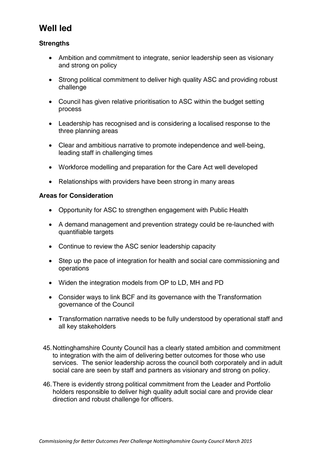## **Well led**

#### **Strengths**

- Ambition and commitment to integrate, senior leadership seen as visionary and strong on policy
- Strong political commitment to deliver high quality ASC and providing robust challenge
- Council has given relative prioritisation to ASC within the budget setting process
- Leadership has recognised and is considering a localised response to the three planning areas
- Clear and ambitious narrative to promote independence and well-being, leading staff in challenging times
- Workforce modelling and preparation for the Care Act well developed
- Relationships with providers have been strong in many areas

#### **Areas for Consideration**

- Opportunity for ASC to strengthen engagement with Public Health
- A demand management and prevention strategy could be re-launched with quantifiable targets
- Continue to review the ASC senior leadership capacity
- Step up the pace of integration for health and social care commissioning and operations
- Widen the integration models from OP to LD, MH and PD
- Consider ways to link BCF and its governance with the Transformation governance of the Council
- Transformation narrative needs to be fully understood by operational staff and all key stakeholders
- 45.Nottinghamshire County Council has a clearly stated ambition and commitment to integration with the aim of delivering better outcomes for those who use services. The senior leadership across the council both corporately and in adult social care are seen by staff and partners as visionary and strong on policy.
- 46.There is evidently strong political commitment from the Leader and Portfolio holders responsible to deliver high quality adult social care and provide clear direction and robust challenge for officers.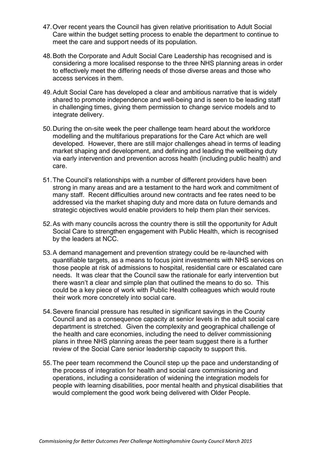- 47.Over recent years the Council has given relative prioritisation to Adult Social Care within the budget setting process to enable the department to continue to meet the care and support needs of its population.
- 48.Both the Corporate and Adult Social Care Leadership has recognised and is considering a more localised response to the three NHS planning areas in order to effectively meet the differing needs of those diverse areas and those who access services in them.
- 49.Adult Social Care has developed a clear and ambitious narrative that is widely shared to promote independence and well-being and is seen to be leading staff in challenging times, giving them permission to change service models and to integrate delivery.
- 50.During the on-site week the peer challenge team heard about the workforce modelling and the multifarious preparations for the Care Act which are well developed. However, there are still major challenges ahead in terms of leading market shaping and development, and defining and leading the wellbeing duty via early intervention and prevention across health (including public health) and care.
- 51.The Council's relationships with a number of different providers have been strong in many areas and are a testament to the hard work and commitment of many staff. Recent difficulties around new contracts and fee rates need to be addressed via the market shaping duty and more data on future demands and strategic objectives would enable providers to help them plan their services.
- 52.As with many councils across the country there is still the opportunity for Adult Social Care to strengthen engagement with Public Health, which is recognised by the leaders at NCC.
- 53.A demand management and prevention strategy could be re-launched with quantifiable targets, as a means to focus joint investments with NHS services on those people at risk of admissions to hospital, residential care or escalated care needs. It was clear that the Council saw the rationale for early intervention but there wasn't a clear and simple plan that outlined the means to do so. This could be a key piece of work with Public Health colleagues which would route their work more concretely into social care.
- 54.Severe financial pressure has resulted in significant savings in the County Council and as a consequence capacity at senior levels in the adult social care department is stretched. Given the complexity and geographical challenge of the health and care economies, including the need to deliver commissioning plans in three NHS planning areas the peer team suggest there is a further review of the Social Care senior leadership capacity to support this.
- 55.The peer team recommend the Council step up the pace and understanding of the process of integration for health and social care commissioning and operations, including a consideration of widening the integration models for people with learning disabilities, poor mental health and physical disabilities that would complement the good work being delivered with Older People.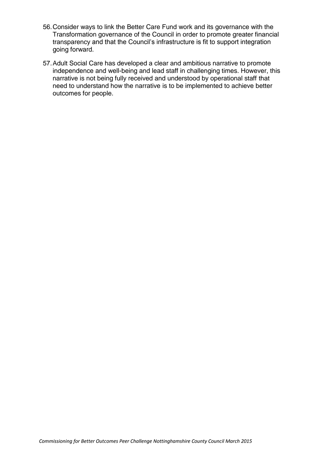- 56.Consider ways to link the Better Care Fund work and its governance with the Transformation governance of the Council in order to promote greater financial transparency and that the Council's infrastructure is fit to support integration going forward.
- 57.Adult Social Care has developed a clear and ambitious narrative to promote independence and well-being and lead staff in challenging times. However, this narrative is not being fully received and understood by operational staff that need to understand how the narrative is to be implemented to achieve better outcomes for people.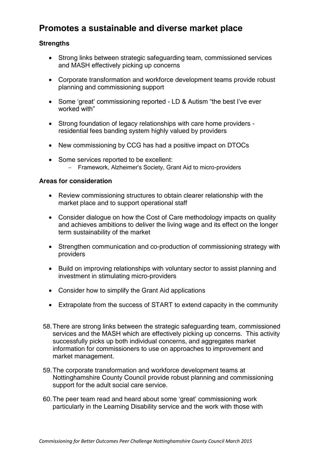## **Promotes a sustainable and diverse market place**

#### **Strengths**

- Strong links between strategic safeguarding team, commissioned services and MASH effectively picking up concerns
- Corporate transformation and workforce development teams provide robust planning and commissioning support
- Some 'great' commissioning reported LD & Autism "the best I've ever worked with"
- Strong foundation of legacy relationships with care home providers residential fees banding system highly valued by providers
- New commissioning by CCG has had a positive impact on DTOCs
- Some services reported to be excellent: - Framework, Alzheimer's Society, Grant Aid to micro-providers

#### **Areas for consideration**

- Review commissioning structures to obtain clearer relationship with the market place and to support operational staff
- Consider dialogue on how the Cost of Care methodology impacts on quality and achieves ambitions to deliver the living wage and its effect on the longer term sustainability of the market
- Strengthen communication and co-production of commissioning strategy with providers
- Build on improving relationships with voluntary sector to assist planning and investment in stimulating micro-providers
- Consider how to simplify the Grant Aid applications
- Extrapolate from the success of START to extend capacity in the community
- 58.There are strong links between the strategic safeguarding team, commissioned services and the MASH which are effectively picking up concerns. This activity successfully picks up both individual concerns, and aggregates market information for commissioners to use on approaches to improvement and market management.
- 59.The corporate transformation and workforce development teams at Nottinghamshire County Council provide robust planning and commissioning support for the adult social care service.
- 60.The peer team read and heard about some 'great' commissioning work particularly in the Learning Disability service and the work with those with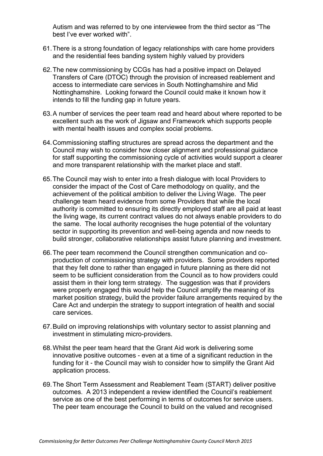Autism and was referred to by one interviewee from the third sector as "The best I've ever worked with".

- 61.There is a strong foundation of legacy relationships with care home providers and the residential fees banding system highly valued by providers
- 62.The new commissioning by CCGs has had a positive impact on Delayed Transfers of Care (DTOC) through the provision of increased reablement and access to intermediate care services in South Nottinghamshire and Mid Nottinghamshire. Looking forward the Council could make it known how it intends to fill the funding gap in future years.
- 63.A number of services the peer team read and heard about where reported to be excellent such as the work of Jigsaw and Framework which supports people with mental health issues and complex social problems.
- 64.Commissioning staffing structures are spread across the department and the Council may wish to consider how closer alignment and professional guidance for staff supporting the commissioning cycle of activities would support a clearer and more transparent relationship with the market place and staff.
- 65.The Council may wish to enter into a fresh dialogue with local Providers to consider the impact of the Cost of Care methodology on quality, and the achievement of the political ambition to deliver the Living Wage. The peer challenge team heard evidence from some Providers that while the local authority is committed to ensuring its directly employed staff are all paid at least the living wage, its current contract values do not always enable providers to do the same. The local authority recognises the huge potential of the voluntary sector in supporting its prevention and well-being agenda and now needs to build stronger, collaborative relationships assist future planning and investment.
- 66.The peer team recommend the Council strengthen communication and coproduction of commissioning strategy with providers. Some providers reported that they felt done to rather than engaged in future planning as there did not seem to be sufficient consideration from the Council as to how providers could assist them in their long term strategy. The suggestion was that if providers were properly engaged this would help the Council amplify the meaning of its market position strategy, build the provider failure arrangements required by the Care Act and underpin the strategy to support integration of health and social care services.
- 67.Build on improving relationships with voluntary sector to assist planning and investment in stimulating micro-providers.
- 68.Whilst the peer team heard that the Grant Aid work is delivering some innovative positive outcomes - even at a time of a significant reduction in the funding for it - the Council may wish to consider how to simplify the Grant Aid application process.
- 69.The Short Term Assessment and Reablement Team (START) deliver positive outcomes. A 2013 independent a review identified the Council's reablement service as one of the best performing in terms of outcomes for service users. The peer team encourage the Council to build on the valued and recognised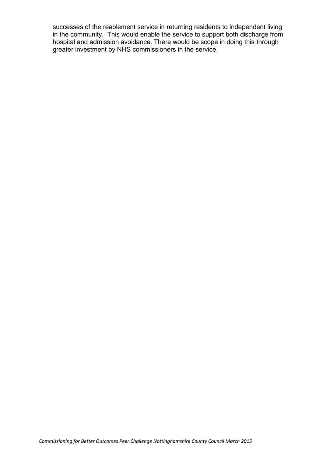successes of the reablement service in returning residents to independent living in the community. This would enable the service to support both discharge from hospital and admission avoidance. There would be scope in doing this through greater investment by NHS commissioners in the service.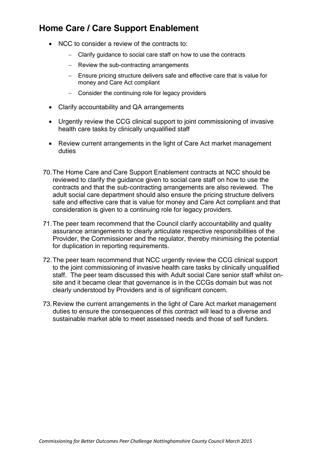## **Home Care / Care Support Enablement**

- NCC to consider a review of the contracts to:
	- Clarify guidance to social care staff on how to use the contracts
	- Review the sub-contracting arrangements
	- Ensure pricing structure delivers safe and effective care that is value for money and Care Act compliant
	- Consider the continuing role for legacy providers
- Clarify accountability and QA arrangements
- Urgently review the CCG clinical support to joint commissioning of invasive health care tasks by clinically unqualified staff
- Review current arrangements in the light of Care Act market management duties
- 70.The Home Care and Care Support Enablement contracts at NCC should be reviewed to clarify the guidance given to social care staff on how to use the contracts and that the sub-contracting arrangements are also reviewed. The adult social care department should also ensure the pricing structure delivers safe and effective care that is value for money and Care Act compliant and that consideration is given to a continuing role for legacy providers.
- 71.The peer team recommend that the Council clarify accountability and quality assurance arrangements to clearly articulate respective responsibilities of the Provider, the Commissioner and the regulator, thereby minimising the potential for duplication in reporting requirements.
- 72.The peer team recommend that NCC urgently review the CCG clinical support to the joint commissioning of invasive health care tasks by clinically unqualified staff. The peer team discussed this with Adult social Care senior staff whilst onsite and it became clear that governance is in the CCGs domain but was not clearly understood by Providers and is of significant concern.
- 73.Review the current arrangements in the light of Care Act market management duties to ensure the consequences of this contract will lead to a diverse and sustainable market able to meet assessed needs and those of self funders.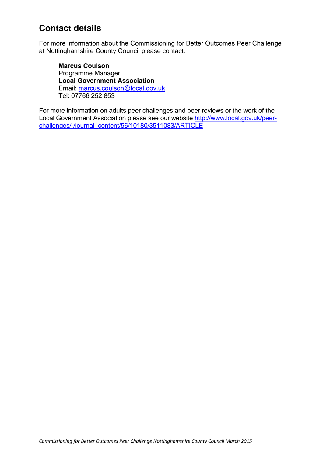## **Contact details**

For more information about the Commissioning for Better Outcomes Peer Challenge at Nottinghamshire County Council please contact:

**Marcus Coulson** Programme Manager **Local Government Association** Email: [marcus.coulson@local.gov.uk](mailto:marcus.coulson@local.gov.uk) Tel: 07766 252 853

For more information on adults peer challenges and peer reviews or the work of the Local Government Association please see our website [http://www.local.gov.uk/peer](http://www.local.gov.uk/peer-challenges/-/journal_content/56/10180/3511083/ARTICLE)[challenges/-/journal\\_content/56/10180/3511083/ARTICLE](http://www.local.gov.uk/peer-challenges/-/journal_content/56/10180/3511083/ARTICLE)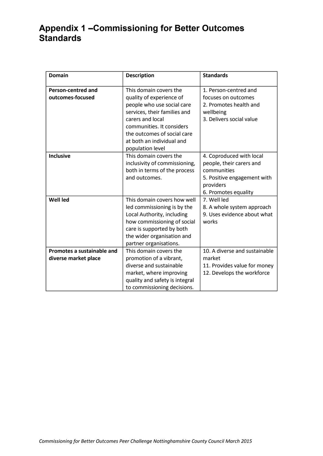## **Appendix 1 –Commissioning for Better Outcomes Standards**

| <b>Domain</b>                                      | <b>Description</b>                                                                                                                                                                                                                                | <b>Standards</b>                                                                                                                        |
|----------------------------------------------------|---------------------------------------------------------------------------------------------------------------------------------------------------------------------------------------------------------------------------------------------------|-----------------------------------------------------------------------------------------------------------------------------------------|
| <b>Person-centred and</b><br>outcomes-focused      | This domain covers the<br>quality of experience of<br>people who use social care<br>services, their families and<br>carers and local<br>communities. It considers<br>the outcomes of social care<br>at both an individual and<br>population level | 1. Person-centred and<br>focuses on outcomes<br>2. Promotes health and<br>wellbeing<br>3. Delivers social value                         |
| <b>Inclusive</b>                                   | This domain covers the<br>inclusivity of commissioning,<br>both in terms of the process<br>and outcomes.                                                                                                                                          | 4. Coproduced with local<br>people, their carers and<br>communities<br>5. Positive engagement with<br>providers<br>6. Promotes equality |
| <b>Well led</b>                                    | This domain covers how well<br>led commissioning is by the<br>Local Authority, including<br>how commissioning of social<br>care is supported by both<br>the wider organisation and<br>partner organisations.                                      | 7. Well led<br>8. A whole system approach<br>9. Uses evidence about what<br>works                                                       |
| Promotes a sustainable and<br>diverse market place | This domain covers the<br>promotion of a vibrant,<br>diverse and sustainable<br>market, where improving<br>quality and safety is integral<br>to commissioning decisions.                                                                          | 10. A diverse and sustainable<br>market<br>11. Provides value for money<br>12. Develops the workforce                                   |